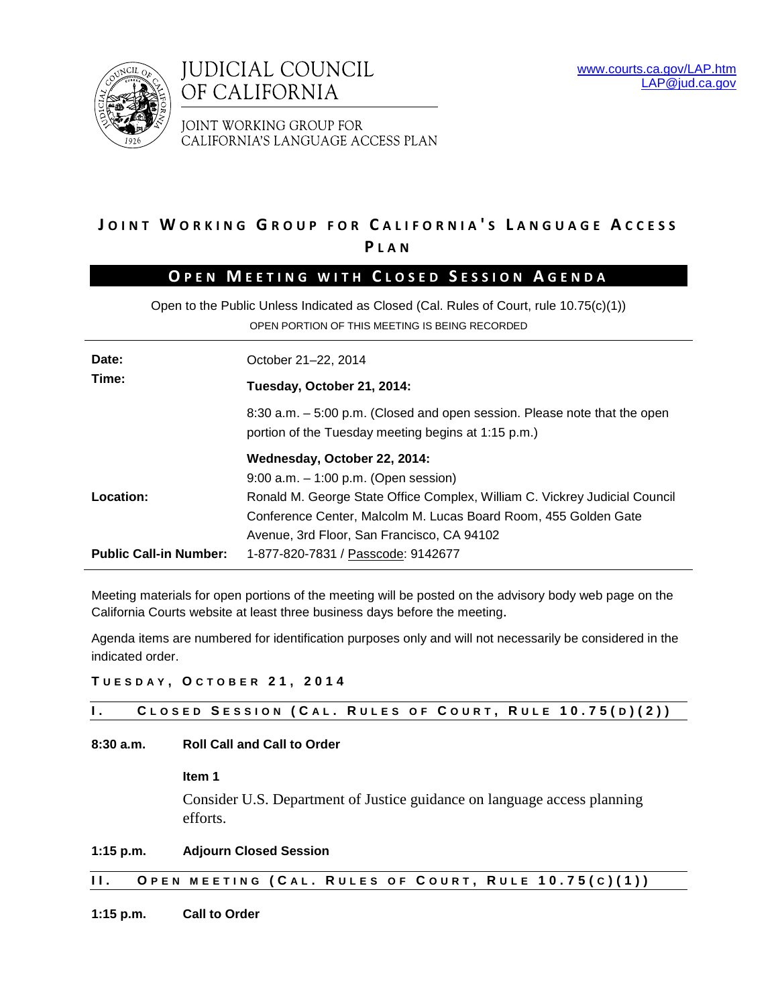



JOINT WORKING GROUP FOR CALIFORNIA'S LANGUAGE ACCESS PLAN

# **J OINT W ORKING G ROUP FOR C ALIFORNIA ' S L ANGUAGE A CCESS P LAN**

# **O PEN M EETING WITH C LOSED S ESSION A GENDA**

Open to the Public Unless Indicated as Closed (Cal. Rules of Court, rule 10.75(c)(1)) OPEN PORTION OF THIS MEETING IS BEING RECORDED

| Date:<br>Time:                                                      | October 21-22, 2014                                                                                                              |  |  |  |  |
|---------------------------------------------------------------------|----------------------------------------------------------------------------------------------------------------------------------|--|--|--|--|
|                                                                     | Tuesday, October 21, 2014:                                                                                                       |  |  |  |  |
|                                                                     | 8:30 a.m. – 5:00 p.m. (Closed and open session. Please note that the open<br>portion of the Tuesday meeting begins at 1:15 p.m.) |  |  |  |  |
|                                                                     | Wednesday, October 22, 2014:                                                                                                     |  |  |  |  |
|                                                                     | $9:00$ a.m. $-1:00$ p.m. (Open session)                                                                                          |  |  |  |  |
| Location:                                                           | Ronald M. George State Office Complex, William C. Vickrey Judicial Council                                                       |  |  |  |  |
|                                                                     | Conference Center, Malcolm M. Lucas Board Room, 455 Golden Gate                                                                  |  |  |  |  |
|                                                                     | Avenue, 3rd Floor, San Francisco, CA 94102                                                                                       |  |  |  |  |
| <b>Public Call-in Number:</b><br>1-877-820-7831 / Passcode: 9142677 |                                                                                                                                  |  |  |  |  |

Meeting materials for open portions of the meeting will be posted on the advisory body web page on the California Courts website at least three business days before the meeting.

Agenda items are numbered for identification purposes only and will not necessarily be considered in the indicated order.

**T UESDAY , O CTOBER 21, 2014**

|  |  |  |  |  |  | CLOSED SESSION (CAL. RULES OF COURT, RULE 10.75(D)(2)) |
|--|--|--|--|--|--|--------------------------------------------------------|
|--|--|--|--|--|--|--------------------------------------------------------|

## **8:30 a.m. Roll Call and Call to Order**

**Item 1**

Consider U.S. Department of Justice guidance on language access planning efforts.

**1:15 p.m. Adjourn Closed Session**

# **II. O PEN MEETING ( C A L . R ULES OF C OURT , R ULE 1 0 .75( C )(1))**

**1:15 p.m. Call to Order**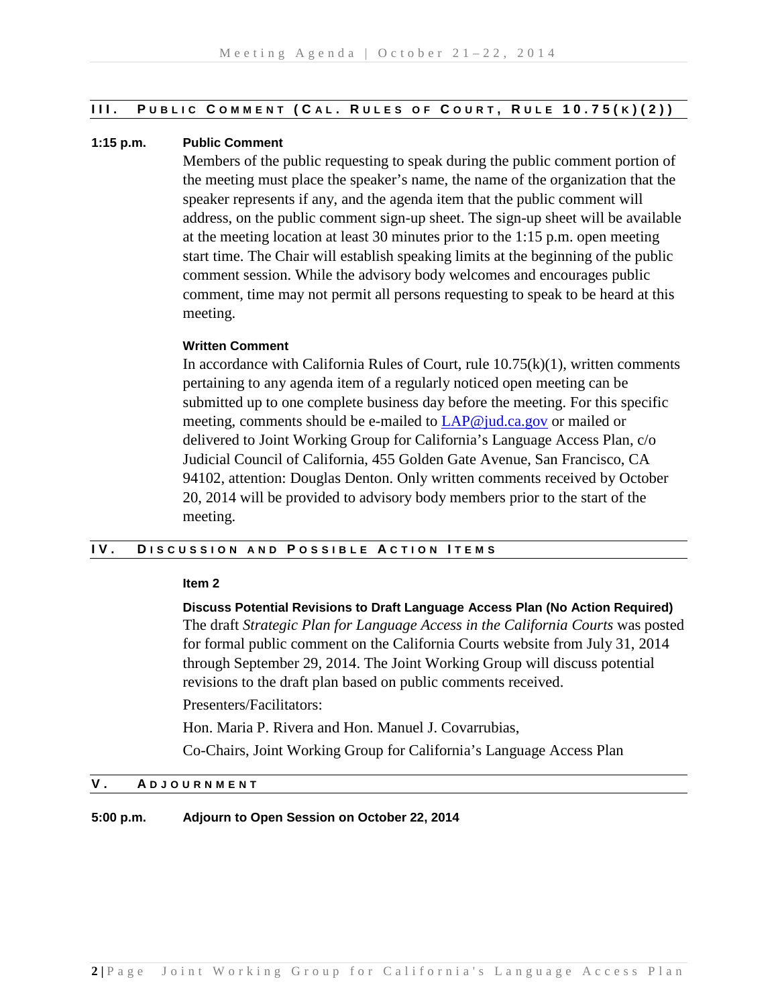#### **III. P UBLIC C OMMENT ( C A L . R ULES OF C OURT , R ULE 10.75( K ) (2) )**

## **1:15 p.m. Public Comment**

Members of the public requesting to speak during the public comment portion of the meeting must place the speaker's name, the name of the organization that the speaker represents if any, and the agenda item that the public comment will address, on the public comment sign-up sheet. The sign-up sheet will be available at the meeting location at least 30 minutes prior to the 1:15 p.m. open meeting start time. The Chair will establish speaking limits at the beginning of the public comment session. While the advisory body welcomes and encourages public comment, time may not permit all persons requesting to speak to be heard at this meeting.

#### **Written Comment**

In accordance with California Rules of Court, rule  $10.75(k)(1)$ , written comments pertaining to any agenda item of a regularly noticed open meeting can be submitted up to one complete business day before the meeting. For this specific meeting, comments should be e-mailed to [LAP@jud.ca.gov](mailto:LAP@jud.ca.gov) or mailed or delivered to Joint Working Group for California's Language Access Plan, c/o Judicial Council of California, 455 Golden Gate Avenue, San Francisco, CA 94102, attention: Douglas Denton. Only written comments received by October 20, 2014 will be provided to advisory body members prior to the start of the meeting.

# **IV. D ISCUSSION AND P OSSIBLE A CTION I TEMS**

#### **Item 2**

**Discuss Potential Revisions to Draft Language Access Plan (No Action Required)** The draft *Strategic Plan for Language Access in the California Courts* was posted for formal public comment on the California Courts website from July 31, 2014 through September 29, 2014. The Joint Working Group will discuss potential revisions to the draft plan based on public comments received.

Presenters/Facilitators:

Hon. Maria P. Rivera and Hon. Manuel J. Covarrubias,

Co-Chairs, Joint Working Group for California's Language Access Plan

# **V . A DJOURNMENT**

**5:00 p.m. Adjourn to Open Session on October 22, 2014**